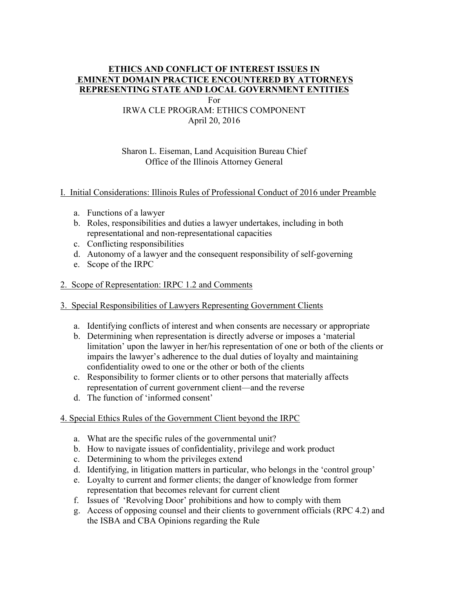## **ETHICS AND CONFLICT OF INTEREST ISSUES IN EMINENT DOMAIN PRACTICE ENCOUNTERED BY ATTORNEYS REPRESENTING STATE AND LOCAL GOVERNMENT ENTITIES** For IRWA CLE PROGRAM: ETHICS COMPONENT April 20, 2016

## Sharon L. Eiseman, Land Acquisition Bureau Chief Office of the Illinois Attorney General

## I. Initial Considerations: Illinois Rules of Professional Conduct of 2016 under Preamble

- a. Functions of a lawyer
- b. Roles, responsibilities and duties a lawyer undertakes, including in both representational and non-representational capacities
- c. Conflicting responsibilities
- d. Autonomy of a lawyer and the consequent responsibility of self-governing
- e. Scope of the IRPC
- 2. Scope of Representation: IRPC 1.2 and Comments
- 3. Special Responsibilities of Lawyers Representing Government Clients
	- a. Identifying conflicts of interest and when consents are necessary or appropriate
	- b. Determining when representation is directly adverse or imposes a 'material limitation' upon the lawyer in her/his representation of one or both of the clients or impairs the lawyer's adherence to the dual duties of loyalty and maintaining confidentiality owed to one or the other or both of the clients
	- c. Responsibility to former clients or to other persons that materially affects representation of current government client—and the reverse
	- d. The function of 'informed consent'

## 4. Special Ethics Rules of the Government Client beyond the IRPC

- a. What are the specific rules of the governmental unit?
- b. How to navigate issues of confidentiality, privilege and work product
- c. Determining to whom the privileges extend
- d. Identifying, in litigation matters in particular, who belongs in the 'control group'
- e. Loyalty to current and former clients; the danger of knowledge from former representation that becomes relevant for current client
- f. Issues of 'Revolving Door' prohibitions and how to comply with them
- g. Access of opposing counsel and their clients to government officials (RPC 4.2) and the ISBA and CBA Opinions regarding the Rule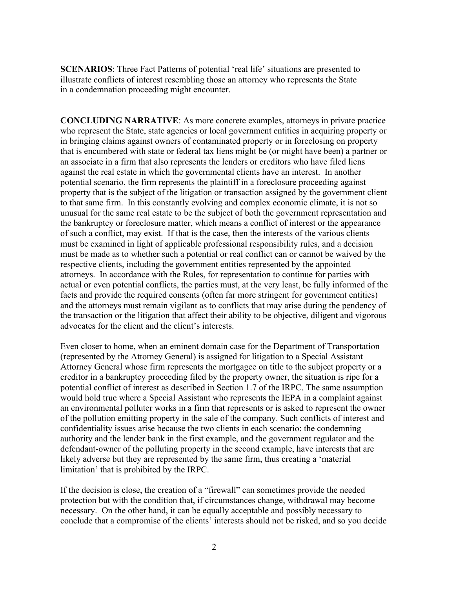**SCENARIOS**: Three Fact Patterns of potential 'real life' situations are presented to illustrate conflicts of interest resembling those an attorney who represents the State in a condemnation proceeding might encounter.

**CONCLUDING NARRATIVE**: As more concrete examples, attorneys in private practice who represent the State, state agencies or local government entities in acquiring property or in bringing claims against owners of contaminated property or in foreclosing on property that is encumbered with state or federal tax liens might be (or might have been) a partner or an associate in a firm that also represents the lenders or creditors who have filed liens against the real estate in which the governmental clients have an interest. In another potential scenario, the firm represents the plaintiff in a foreclosure proceeding against property that is the subject of the litigation or transaction assigned by the government client to that same firm. In this constantly evolving and complex economic climate, it is not so unusual for the same real estate to be the subject of both the government representation and the bankruptcy or foreclosure matter, which means a conflict of interest or the appearance of such a conflict, may exist. If that is the case, then the interests of the various clients must be examined in light of applicable professional responsibility rules, and a decision must be made as to whether such a potential or real conflict can or cannot be waived by the respective clients, including the government entities represented by the appointed attorneys. In accordance with the Rules, for representation to continue for parties with actual or even potential conflicts, the parties must, at the very least, be fully informed of the facts and provide the required consents (often far more stringent for government entities) and the attorneys must remain vigilant as to conflicts that may arise during the pendency of the transaction or the litigation that affect their ability to be objective, diligent and vigorous advocates for the client and the client's interests.

Even closer to home, when an eminent domain case for the Department of Transportation (represented by the Attorney General) is assigned for litigation to a Special Assistant Attorney General whose firm represents the mortgagee on title to the subject property or a creditor in a bankruptcy proceeding filed by the property owner, the situation is ripe for a potential conflict of interest as described in Section 1.7 of the IRPC. The same assumption would hold true where a Special Assistant who represents the IEPA in a complaint against an environmental polluter works in a firm that represents or is asked to represent the owner of the pollution emitting property in the sale of the company. Such conflicts of interest and confidentiality issues arise because the two clients in each scenario: the condemning authority and the lender bank in the first example, and the government regulator and the defendant-owner of the polluting property in the second example, have interests that are likely adverse but they are represented by the same firm, thus creating a 'material limitation' that is prohibited by the IRPC.

If the decision is close, the creation of a "firewall" can sometimes provide the needed protection but with the condition that, if circumstances change, withdrawal may become necessary. On the other hand, it can be equally acceptable and possibly necessary to conclude that a compromise of the clients' interests should not be risked, and so you decide